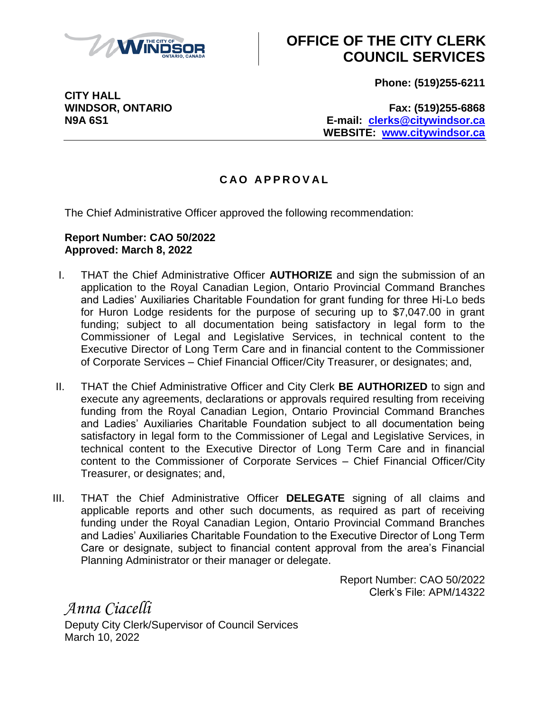

## **OFFICE OF THE CITY CLERK COUNCIL SERVICES**

**Phone: (519)255-6211**

**WINDSOR, ONTARIO Fax: (519)255-6868 N9A 6S1 E-mail: [clerks@citywindsor.ca](mailto:clerks@citywindsor.ca) WEBSITE: [www.citywindsor.ca](http://www.citywindsor.ca/)**

## **C A O A P P R O V A L**

The Chief Administrative Officer approved the following recommendation:

## **Report Number: CAO 50/2022 Approved: March 8, 2022**

- I. THAT the Chief Administrative Officer **AUTHORIZE** and sign the submission of an application to the Royal Canadian Legion, Ontario Provincial Command Branches and Ladies' Auxiliaries Charitable Foundation for grant funding for three Hi-Lo beds for Huron Lodge residents for the purpose of securing up to \$7,047.00 in grant funding; subject to all documentation being satisfactory in legal form to the Commissioner of Legal and Legislative Services, in technical content to the Executive Director of Long Term Care and in financial content to the Commissioner of Corporate Services – Chief Financial Officer/City Treasurer, or designates; and,
- II. THAT the Chief Administrative Officer and City Clerk **BE AUTHORIZED** to sign and execute any agreements, declarations or approvals required resulting from receiving funding from the Royal Canadian Legion, Ontario Provincial Command Branches and Ladies' Auxiliaries Charitable Foundation subject to all documentation being satisfactory in legal form to the Commissioner of Legal and Legislative Services, in technical content to the Executive Director of Long Term Care and in financial content to the Commissioner of Corporate Services – Chief Financial Officer/City Treasurer, or designates; and,
- III. THAT the Chief Administrative Officer **DELEGATE** signing of all claims and applicable reports and other such documents, as required as part of receiving funding under the Royal Canadian Legion, Ontario Provincial Command Branches and Ladies' Auxiliaries Charitable Foundation to the Executive Director of Long Term Care or designate, subject to financial content approval from the area's Financial Planning Administrator or their manager or delegate.

Report Number: CAO 50/2022 Clerk's File: APM/14322

*Anna Ciacelli* Deputy City Clerk/Supervisor of Council Services March 10, 2022

**CITY HALL**